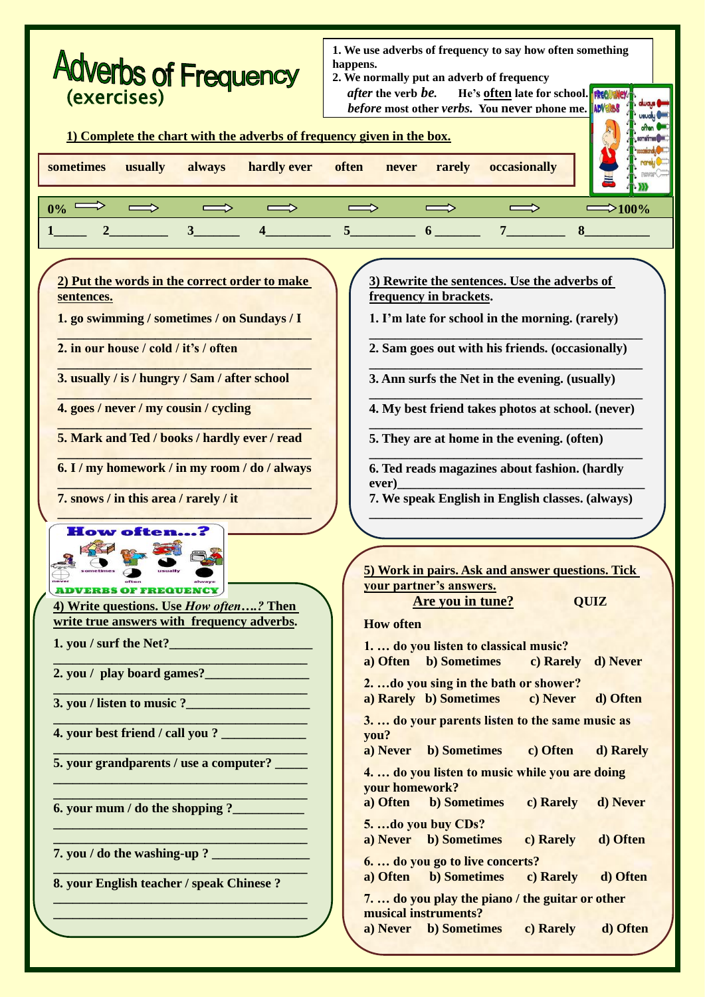| <b>Adverbs of Frequency</b><br>(exercises)<br>1) Complete the chart with the adverbs of frequency given in the box.                                                                                                                                                                                                                                                                                                                                                                                                                                                                                                                                                                                                              | 1. We use adverbs of frequency to say how often something<br>happens.<br>2. We normally put an adverb of frequency<br><i>after</i> the verb be.<br>He's often late for school.<br>before most other verbs. You never phone me.<br><b>ADVERBS</b>                                                                                                                                                                                                                                                                                                                                                                                                                                                                                                                                                                                                                                                                                                                                                                                                                                                                                                                                                                                                                                                                                                     |
|----------------------------------------------------------------------------------------------------------------------------------------------------------------------------------------------------------------------------------------------------------------------------------------------------------------------------------------------------------------------------------------------------------------------------------------------------------------------------------------------------------------------------------------------------------------------------------------------------------------------------------------------------------------------------------------------------------------------------------|------------------------------------------------------------------------------------------------------------------------------------------------------------------------------------------------------------------------------------------------------------------------------------------------------------------------------------------------------------------------------------------------------------------------------------------------------------------------------------------------------------------------------------------------------------------------------------------------------------------------------------------------------------------------------------------------------------------------------------------------------------------------------------------------------------------------------------------------------------------------------------------------------------------------------------------------------------------------------------------------------------------------------------------------------------------------------------------------------------------------------------------------------------------------------------------------------------------------------------------------------------------------------------------------------------------------------------------------------|
| sometimes<br>hardly ever<br>usually<br>always                                                                                                                                                                                                                                                                                                                                                                                                                                                                                                                                                                                                                                                                                    | occasionally<br>often<br>rarely<br>never                                                                                                                                                                                                                                                                                                                                                                                                                                                                                                                                                                                                                                                                                                                                                                                                                                                                                                                                                                                                                                                                                                                                                                                                                                                                                                             |
|                                                                                                                                                                                                                                                                                                                                                                                                                                                                                                                                                                                                                                                                                                                                  |                                                                                                                                                                                                                                                                                                                                                                                                                                                                                                                                                                                                                                                                                                                                                                                                                                                                                                                                                                                                                                                                                                                                                                                                                                                                                                                                                      |
| $0\%$                                                                                                                                                                                                                                                                                                                                                                                                                                                                                                                                                                                                                                                                                                                            | $\approx$ 100%                                                                                                                                                                                                                                                                                                                                                                                                                                                                                                                                                                                                                                                                                                                                                                                                                                                                                                                                                                                                                                                                                                                                                                                                                                                                                                                                       |
| 3 <sup>1</sup>                                                                                                                                                                                                                                                                                                                                                                                                                                                                                                                                                                                                                                                                                                                   | 6 <sup>1</sup><br>$7^{\circ}$<br>8                                                                                                                                                                                                                                                                                                                                                                                                                                                                                                                                                                                                                                                                                                                                                                                                                                                                                                                                                                                                                                                                                                                                                                                                                                                                                                                   |
| 2) Put the words in the correct order to make<br>sentences.<br>1. go swimming / sometimes / on Sundays / I<br>2. in our house / cold / it's / often<br>3. usually / is / hungry / Sam / after school<br>4. goes / never / my cousin / cycling<br>5. Mark and Ted / books / hardly ever / read<br>6. I / my homework / in my room / do / always<br>7. snows / in this area / rarely / it<br><b>How often?</b><br>sometimes<br><b>ADVERBS OF FREQUENCY</b><br>4) Write questions. Use <i>How often</i> ? Then<br>write true answers with frequency adverbs.<br>2. you / play board games?<br>4. your best friend / call you ? ______________<br>5. your grandparents / use a computer?<br>8. your English teacher / speak Chinese? | 3) Rewrite the sentences. Use the adverbs of<br>frequency in brackets.<br>1. I'm late for school in the morning. (rarely)<br>2. Sam goes out with his friends. (occasionally)<br>3. Ann surfs the Net in the evening. (usually)<br>4. My best friend takes photos at school. (never)<br>5. They are at home in the evening. (often)<br>6. Ted reads magazines about fashion. (hardly<br>ever)<br>7. We speak English in English classes. (always)<br>5) Work in pairs. Ask and answer questions. Tick<br>your partner's answers.<br>Are you in tune?<br><b>QUIZ</b><br><b>How often</b><br>1.  do you listen to classical music?<br><b>b)</b> Sometimes<br>a) Often<br>c) Rarely<br>d) Never<br>2. do you sing in the bath or shower?<br>a) Rarely b) Sometimes<br>c) Never<br>d) Often<br>3.  do your parents listen to the same music as<br>you?<br><b>b</b> ) Sometimes<br>c) Often<br>a) Never<br>d) Rarely<br>4.  do you listen to music while you are doing<br>your homework?<br>a) Often<br><b>b)</b> Sometimes<br>c) Rarely<br>d) Never<br>5. do you buy CDs?<br>a) Never b) Sometimes<br>c) Rarely<br>d) Often<br>6.  do you go to live concerts?<br><b>b</b> ) Sometimes<br>a) Often<br>c) Rarely<br>d) Often<br>7.  do you play the piano / the guitar or other<br>musical instruments?<br>a) Never b) Sometimes<br>d) Often<br>c) Rarely |